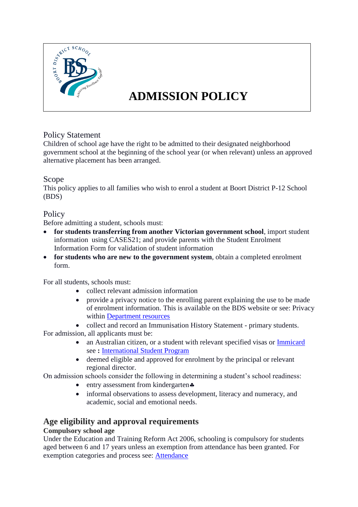

# **ADMISSION POLICY**

# Policy Statement

Children of school age have the right to be admitted to their designated neighborhood government school at the beginning of the school year (or when relevant) unless an approved alternative placement has been arranged.

# Scope

This policy applies to all families who wish to enrol a student at Boort District P-12 School (BDS)

## **Policy**

Before admitting a student, schools must:

- **for students transferring from another Victorian government school**, import student information using CASES21; and provide parents with the Student Enrolment Information Form for validation of student information
- **for students who are new to the government system**, obtain a completed enrolment form.

For all students, schools must:

- collect relevant admission information
- provide a privacy notice to the enrolling parent explaining the use to be made of enrolment information. This is available on the BDS website or see: Privacy within [Department resources](https://www.education.vic.gov.au/school/principals/spag/participation/pages/admission.aspx#2)
- collect and record an Immunisation History Statement primary students.

For admission, all applicants must be:

- an Australian citizen, or a student with relevant specified visas or **Immicard** see **:** [International Student Program](https://www.education.vic.gov.au/school/principals/spag/curriculum/pages/program.aspx)
- deemed eligible and approved for enrolment by the principal or relevant regional director.

On admission schools consider the following in determining a student's school readiness:

- $\bullet$  entry assessment from kindergarten $\clubsuit$
- informal observations to assess development, literacy and numeracy, and academic, social and emotional needs.

# **Age eligibility and approval requirements**

## **Compulsory school age**

Under the Education and Training Reform Act 2006, schooling is compulsory for students aged between 6 and 17 years unless an exemption from attendance has been granted. For exemption categories and process see: [Attendance](https://www.education.vic.gov.au/school/principals/spag/participation/Pages/attendance.aspx)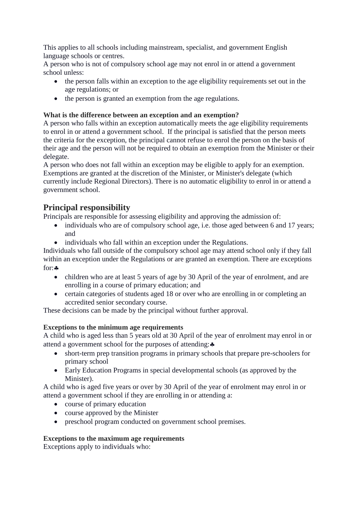This applies to all schools including mainstream, specialist, and government English language schools or centres.

A person who is not of compulsory school age may not enrol in or attend a government school unless:

- the person falls within an exception to the age eligibility requirements set out in the age regulations; or
- the person is granted an exemption from the age regulations.

#### **What is the difference between an exception and an exemption?**

A person who falls within an exception automatically meets the age eligibility requirements to enrol in or attend a government school. If the principal is satisfied that the person meets the criteria for the exception, the principal cannot refuse to enrol the person on the basis of their age and the person will not be required to obtain an exemption from the Minister or their delegate.

A person who does not fall within an exception may be eligible to apply for an exemption. Exemptions are granted at the discretion of the Minister, or Minister's delegate (which currently include Regional Directors). There is no automatic eligibility to enrol in or attend a government school.

# **Principal responsibility**

Principals are responsible for assessing eligibility and approving the admission of:

- individuals who are of compulsory school age, i.e. those aged between 6 and 17 years; and
- individuals who fall within an exception under the Regulations.

Individuals who fall outside of the compulsory school age may attend school only if they fall within an exception under the Regulations or are granted an exemption. There are exceptions for:  $\clubsuit$ 

- children who are at least 5 years of age by 30 April of the year of enrolment, and are enrolling in a course of primary education; and
- certain categories of students aged 18 or over who are enrolling in or completing an accredited senior secondary course.

These decisions can be made by the principal without further approval.

#### **Exceptions to the minimum age requirements**

A child who is aged less than 5 years old at 30 April of the year of enrolment may enrol in or attend a government school for the purposes of attending:

- short-term prep transition programs in primary schools that prepare pre-schoolers for primary school
- Early Education Programs in special developmental schools (as approved by the Minister).

A child who is aged five years or over by 30 April of the year of enrolment may enrol in or attend a government school if they are enrolling in or attending a:

- course of primary education
- course approved by the Minister
- preschool program conducted on government school premises.

#### **Exceptions to the maximum age requirements**

Exceptions apply to individuals who: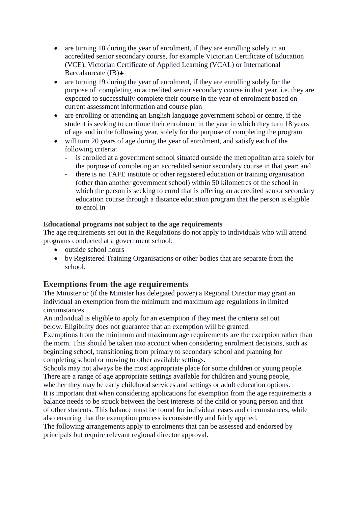- are turning 18 during the year of enrolment, if they are enrolling solely in an accredited senior secondary course, for example Victorian Certificate of Education (VCE), Victorian Certificate of Applied Learning (VCAL) or International Baccalaureate (IB)
- are turning 19 during the year of enrolment, if they are enrolling solely for the purpose of completing an accredited senior secondary course in that year, i.e. they are expected to successfully complete their course in the year of enrolment based on current assessment information and course plan
- are enrolling or attending an English language government school or centre, if the student is seeking to continue their enrolment in the year in which they turn 18 years of age and in the following year, solely for the purpose of completing the program
- will turn 20 years of age during the year of enrolment, and satisfy each of the following criteria:
	- is enrolled at a government school situated outside the metropolitan area solely for the purpose of completing an accredited senior secondary course in that year: and
	- there is no TAFE institute or other registered education or training organisation (other than another government school) within 50 kilometres of the school in which the person is seeking to enrol that is offering an accredited senior secondary education course through a distance education program that the person is eligible to enrol in

#### **Educational programs not subject to the age requirements**

The age requirements set out in the Regulations do not apply to individuals who will attend programs conducted at a government school:

- outside school hours
- by Registered Training Organisations or other bodies that are separate from the school.

# **Exemptions from the age requirements**

The Minister or (if the Minister has delegated power) a Regional Director may grant an individual an exemption from the minimum and maximum age regulations in limited circumstances.

An individual is eligible to apply for an exemption if they meet the criteria set out below. Eligibility does not guarantee that an exemption will be granted.

Exemptions from the minimum and maximum age requirements are the exception rather than the norm. This should be taken into account when considering enrolment decisions, such as beginning school, transitioning from primary to secondary school and planning for completing school or moving to other available settings.

Schools may not always be the most appropriate place for some children or young people. There are a range of age appropriate settings available for children and young people, whether they may be early childhood services and settings or adult education options.

It is important that when considering applications for exemption from the age requirements a balance needs to be struck between the best interests of the child or young person and that of other students. This balance must be found for individual cases and circumstances, while also ensuring that the exemption process is consistently and fairly applied.

The following arrangements apply to enrolments that can be assessed and endorsed by principals but require relevant regional director approval.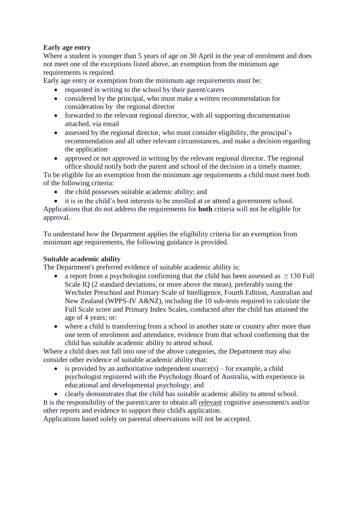#### **Early age entry**

Where a student is younger than 5 years of age on 30 April in the year of enrolment and does not meet one of the exceptions listed above, an exemption from the minimum age requirements is required.

Early age entry or exemption from the minimum age requirements must be:

- requested in writing to the school by their parent/carers
- considered by the principal, who must make a written recommendation for consideration by the regional director
- forwarded to the relevant regional director, with all supporting documentation attached, via email
- assessed by the regional director, who must consider eligibility, the principal's recommendation and all other relevant circumstances, and make a decision regarding the application
- approved or not approved in writing by the relevant regional director. The regional office should notify both the parent and school of the decision in a timely manner.

To be eligible for an exemption from the minimum age requirements a child must meet both of the following criteria:

- the child possesses suitable academic ability; and
- it is in the child's best interests to be enrolled at or attend a government school.

Applications that do not address the requirements for **both** criteria will not be eligible for approval.

To understand how the Department applies the eligibility criteria for an exemption from minimum age requirements, the following guidance is provided.

#### **Suitable academic ability**

The Department's preferred evidence of suitable academic ability is:

- a report from a psychologist confirming that the child has been assessed as  $\geq 130$  Full Scale IQ (2 standard deviations, or more above the mean), preferably using the Wechsler Preschool and Primary Scale of Intelligence, Fourth Edition, Australian and New Zealand (WPPS-IV A&NZ), including the 10 sub-tests required to calculate the Full Scale score and Primary Index Scales, conducted after the child has attained the age of 4 years; or:
- where a child is transferring from a school in another state or country after more than one term of enrolment and attendance, evidence from that school confirming that the child has suitable academic ability to attend school.

Where a child does not fall into one of the above categories, the Department may also consider other evidence of suitable academic ability that:

- is provided by an authoritative independent source(s) for example, a child psychologist registered with the Psychology Board of Australia, with experience in educational and developmental psychology; and
- clearly demonstrates that the child has suitable academic ability to attend school. It is the responsibility of the parent/carer to obtain all relevant cognitive assessment/s and/or other reports and evidence to support their child's application.

Applications based solely on parental observations will not be accepted.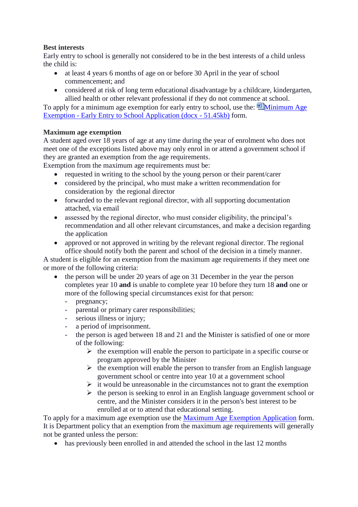#### **Best interests**

Early entry to school is generally not considered to be in the best interests of a child unless the child is:

- at least 4 years 6 months of age on or before 30 April in the year of school commencement; and
- considered at risk of long term educational disadvantage by a childcare, kindergarten, allied health or other relevant professional if they do not commence at school.

To apply for a minimum age exemption for early entry to school, use the:  $^{\circ\circ\circ}$  Minimum Age Exemption - [Early Entry to School Application \(docx -](https://www.education.vic.gov.au/Documents/school/principals/spag/participation/minageexemptform.docx) 51.45kb) form.

## **Maximum age exemption**

A student aged over 18 years of age at any time during the year of enrolment who does not meet one of the exceptions listed above may only enrol in or attend a government school if they are granted an exemption from the age requirements.

Exemption from the maximum age requirements must be:

- requested in writing to the school by the young person or their parent/carer
- considered by the principal, who must make a written recommendation for consideration by the regional director
- forwarded to the relevant regional director, with all supporting documentation attached, via email
- assessed by the regional director, who must consider eligibility, the principal's recommendation and all other relevant circumstances, and make a decision regarding the application
- approved or not approved in writing by the relevant regional director. The regional office should notify both the parent and school of the decision in a timely manner.

A student is eligible for an exemption from the maximum age requirements if they meet one or more of the following criteria:

- the person will be under 20 years of age on 31 December in the year the person completes year 10 **and** is unable to complete year 10 before they turn 18 **and** one or more of the following special circumstances exist for that person:
	- pregnancy;
	- parental or primary carer responsibilities;
	- serious illness or injury;
	- a period of imprisonment.
	- the person is aged between 18 and 21 and the Minister is satisfied of one or more of the following:
		- $\triangleright$  the exemption will enable the person to participate in a specific course or program approved by the Minister
		- $\triangleright$  the exemption will enable the person to transfer from an English language government school or centre into year 10 at a government school
		- $\triangleright$  it would be unreasonable in the circumstances not to grant the exemption
		- $\triangleright$  the person is seeking to enrol in an English language government school or centre, and the Minister considers it in the person's best interest to be enrolled at or to attend that educational setting.

To apply for a maximum age exemption use the [Maximum Age Exemption Application](https://www.education.vic.gov.au/Documents/school/principals/spag/participation/maxageexemptform.docx) form. It is Department policy that an exemption from the maximum age requirements will generally not be granted unless the person:

• has previously been enrolled in and attended the school in the last 12 months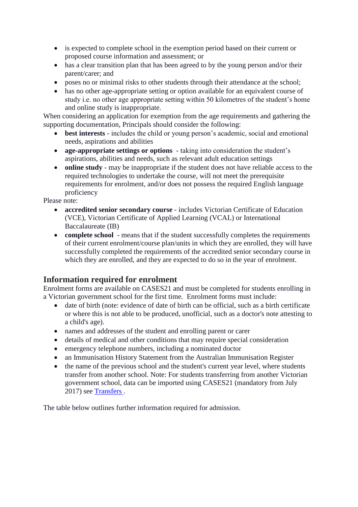- is expected to complete school in the exemption period based on their current or proposed course information and assessment; or
- has a clear transition plan that has been agreed to by the young person and/or their parent/carer; and
- poses no or minimal risks to other students through their attendance at the school;
- has no other age-appropriate setting or option available for an equivalent course of study i.e. no other age appropriate setting within 50 kilometres of the student's home and online study is inappropriate.

When considering an application for exemption from the age requirements and gathering the supporting documentation, Principals should consider the following:

- **best interests** includes the child or young person's academic, social and emotional needs, aspirations and abilities
- **age-appropriate settings or options** taking into consideration the student's aspirations, abilities and needs, such as relevant adult education settings
- **online study**  may be inappropriate if the student does not have reliable access to the required technologies to undertake the course, will not meet the prerequisite requirements for enrolment, and/or does not possess the required English language proficiency

Please note:

- **accredited senior secondary course**  includes Victorian Certificate of Education (VCE), Victorian Certificate of Applied Learning (VCAL) or International Baccalaureate (IB)
- **complete school** means that if the student successfully completes the requirements of their current enrolment/course plan/units in which they are enrolled, they will have successfully completed the requirements of the accredited senior secondary course in which they are enrolled, and they are expected to do so in the year of enrolment.

# **Information required for enrolment**

Enrolment forms are available on CASES21 and must be completed for students enrolling in a Victorian government school for the first time. Enrolment forms must include:

- date of birth (note: evidence of date of birth can be official, such as a birth certificate or where this is not able to be produced, unofficial, such as a doctor's note attesting to a child's age).
- names and addresses of the student and enrolling parent or carer
- details of medical and other conditions that may require special consideration
- emergency telephone numbers, including a nominated doctor
- an Immunisation History Statement from the Australian Immunisation Register
- the name of the previous school and the student's current year level, where students transfer from another school. Note: For students transferring from another Victorian government school, data can be imported using CASES21 (mandatory from July 2017) see [Transfers .](https://www.education.vic.gov.au/school/principals/spag/participation/Pages/transfers.aspx)

The table below outlines further information required for admission.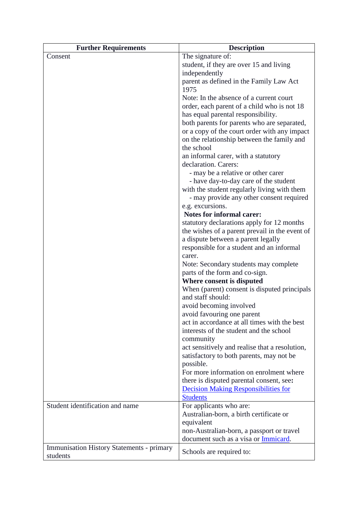| <b>Further Requirements</b>                      | <b>Description</b>                                                 |
|--------------------------------------------------|--------------------------------------------------------------------|
| Consent                                          | The signature of:                                                  |
|                                                  | student, if they are over 15 and living                            |
|                                                  | independently                                                      |
|                                                  | parent as defined in the Family Law Act                            |
|                                                  | 1975                                                               |
|                                                  | Note: In the absence of a current court                            |
|                                                  | order, each parent of a child who is not 18                        |
|                                                  | has equal parental responsibility.                                 |
|                                                  | both parents for parents who are separated,                        |
|                                                  | or a copy of the court order with any impact                       |
|                                                  | on the relationship between the family and                         |
|                                                  | the school                                                         |
|                                                  | an informal carer, with a statutory                                |
|                                                  | declaration. Carers:                                               |
|                                                  | - may be a relative or other carer                                 |
|                                                  | - have day-to-day care of the student                              |
|                                                  | with the student regularly living with them                        |
|                                                  | - may provide any other consent required<br>e.g. excursions.       |
|                                                  | <b>Notes for informal carer:</b>                                   |
|                                                  | statutory declarations apply for 12 months                         |
|                                                  | the wishes of a parent prevail in the event of                     |
|                                                  | a dispute between a parent legally                                 |
|                                                  | responsible for a student and an informal                          |
|                                                  | carer.                                                             |
|                                                  | Note: Secondary students may complete                              |
|                                                  | parts of the form and co-sign.                                     |
|                                                  | Where consent is disputed                                          |
|                                                  | When (parent) consent is disputed principals                       |
|                                                  | and staff should:                                                  |
|                                                  | avoid becoming involved                                            |
|                                                  | avoid favouring one parent                                         |
|                                                  | act in accordance at all times with the best                       |
|                                                  | interests of the student and the school                            |
|                                                  | community                                                          |
|                                                  | act sensitively and realise that a resolution,                     |
|                                                  | satisfactory to both parents, may not be                           |
|                                                  | possible.                                                          |
|                                                  | For more information on enrolment where                            |
|                                                  | there is disputed parental consent, see:                           |
|                                                  | <b>Decision Making Responsibilities for</b>                        |
| Student identification and name                  | <b>Students</b>                                                    |
|                                                  | For applicants who are:<br>Australian-born, a birth certificate or |
|                                                  | equivalent                                                         |
|                                                  | non-Australian-born, a passport or travel                          |
|                                                  | document such as a visa or Immicard.                               |
| <b>Immunisation History Statements - primary</b> |                                                                    |
| students                                         | Schools are required to:                                           |
|                                                  |                                                                    |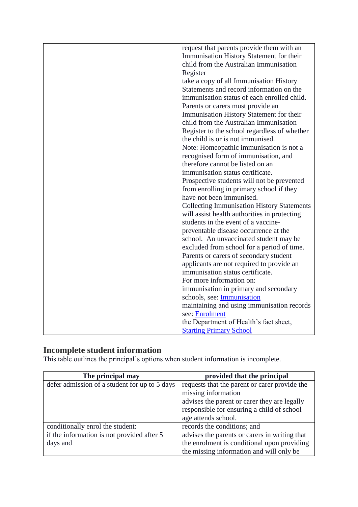| request that parents provide them with an         |
|---------------------------------------------------|
| Immunisation History Statement for their          |
| child from the Australian Immunisation            |
| Register                                          |
| take a copy of all Immunisation History           |
| Statements and record information on the          |
| immunisation status of each enrolled child.       |
| Parents or carers must provide an                 |
| Immunisation History Statement for their          |
| child from the Australian Immunisation            |
| Register to the school regardless of whether      |
| the child is or is not immunised.                 |
| Note: Homeopathic immunisation is not a           |
| recognised form of immunisation, and              |
| therefore cannot be listed on an                  |
| immunisation status certificate.                  |
| Prospective students will not be prevented        |
| from enrolling in primary school if they          |
| have not been immunised.                          |
| <b>Collecting Immunisation History Statements</b> |
| will assist health authorities in protecting      |
| students in the event of a vaccine-               |
| preventable disease occurrence at the             |
| school. An unvaccinated student may be            |
| excluded from school for a period of time.        |
| Parents or carers of secondary student            |
| applicants are not required to provide an         |
| immunisation status certificate.                  |
| For more information on:                          |
| immunisation in primary and secondary             |
| schools, see: Immunisation                        |
| maintaining and using immunisation records        |
| see: <b>Enrolment</b>                             |
| the Department of Health's fact sheet,            |
| <b>Starting Primary School</b>                    |

# **Incomplete student information**

This table outlines the principal's options when student information is incomplete.

| The principal may                             | provided that the principal                   |
|-----------------------------------------------|-----------------------------------------------|
| defer admission of a student for up to 5 days | requests that the parent or carer provide the |
|                                               | missing information                           |
|                                               | advises the parent or carer they are legally  |
|                                               | responsible for ensuring a child of school    |
|                                               | age attends school.                           |
| conditionally enrol the student:              | records the conditions; and                   |
| if the information is not provided after 5    | advises the parents or carers in writing that |
| days and                                      | the enrolment is conditional upon providing   |
|                                               | the missing information and will only be      |